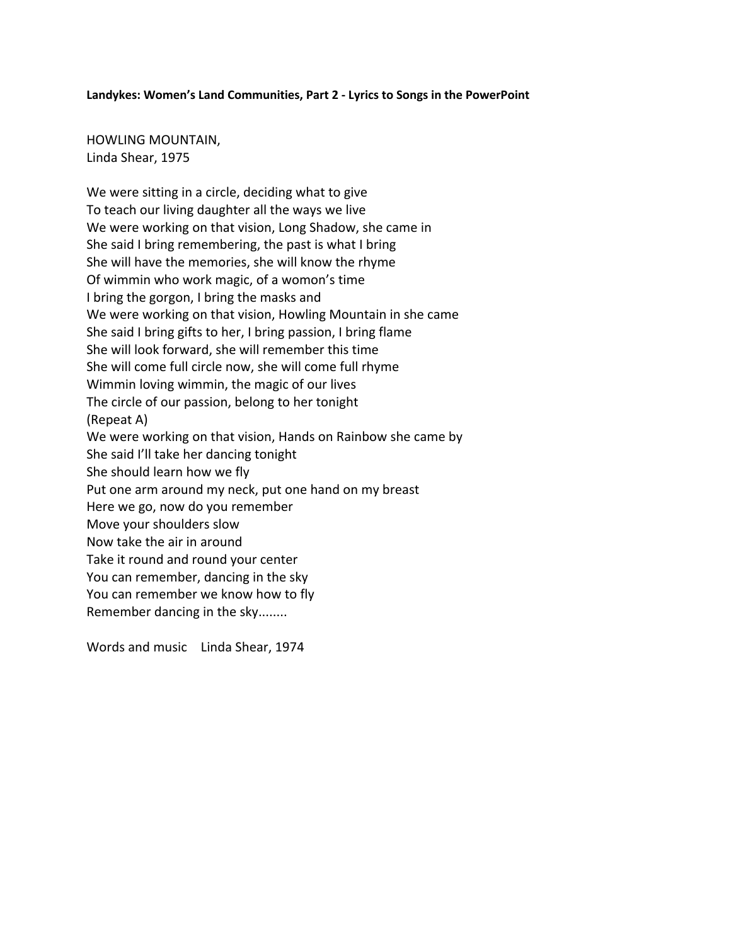## **Landykes: Women's Land Communities, Part 2 - Lyrics to Songs in the PowerPoint**

HOWLING MOUNTAIN, Linda Shear, 1975

We were sitting in a circle, deciding what to give To teach our living daughter all the ways we live We were working on that vision, Long Shadow, she came in She said I bring remembering, the past is what I bring She will have the memories, she will know the rhyme Of wimmin who work magic, of a womon's time I bring the gorgon, I bring the masks and We were working on that vision, Howling Mountain in she came She said I bring gifts to her, I bring passion, I bring flame She will look forward, she will remember this time She will come full circle now, she will come full rhyme Wimmin loving wimmin, the magic of our lives The circle of our passion, belong to her tonight (Repeat A) We were working on that vision, Hands on Rainbow she came by She said I'll take her dancing tonight She should learn how we fly Put one arm around my neck, put one hand on my breast Here we go, now do you remember Move your shoulders slow Now take the air in around Take it round and round your center You can remember, dancing in the sky You can remember we know how to fly Remember dancing in the sky........

Words and music Linda Shear, 1974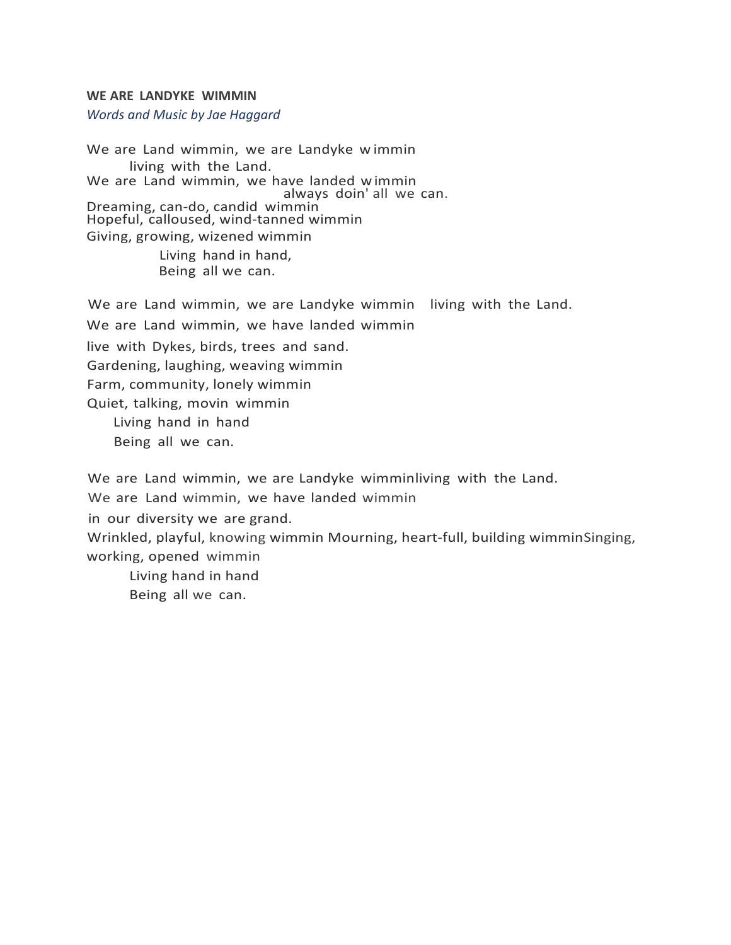## **WE ARE LANDYKE WIMMIN**

*Words and Music by Jae Haggard*

We are Land wimmin, we are Landyke w immin living with the Land. We are Land wimmin, we have landed wimmin<br>always doin'all we can. Dreaming, can-do, candid wimmin Hopeful, calloused, wind-tanned wimmin Giving, growing, wizened wimmin Living hand in hand,

Being all we can.

We are Land wimmin, we are Landyke wimmin living with the Land. We are Land wimmin, we have landed wimmin live with Dykes, birds, trees and sand. Gardening, laughing, weaving wimmin Farm, community, lonely wimmin Quiet, talking, movin wimmin Living hand in hand Being all we can. We are Land wimmin, we are Landyke wimminliving with the Land.

We are Land wimmin, we have landed wimmin in our diversity we are grand. Wrinkled, playful, knowing wimmin Mourning, heart-full, building wimminSinging, working, opened wimmin Living hand in hand

Being all we can.